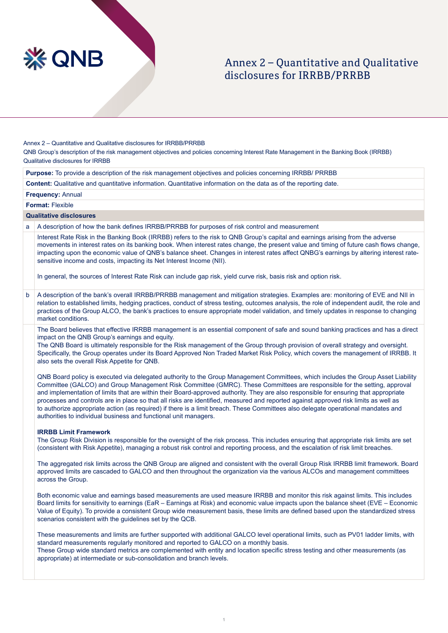

# Annex 2 – Ouantitative and Qualitative disclosures for IRRBB/PRRBB

Annex 2 - Quantitative and Qualitative disclosures for IRRBB/PRRBB

QNB Group's description of the risk management objectives and policies concerning Interest Rate Management in the Banking Book (IRRBB) Qualitative disclosures for IRRBB

Purpose: To provide a description of the risk management objectives and policies concerning IRRBB/ PRRBB

**Content:** Qualitative and quantitative information. Quantitative information on the data as of the reporting date.

**Frequency: Annual** 

**Format: Flexible** 

## **Qualitative disclosures**

a A description of how the bank defines IRRBB/PRRBB for purposes of risk control and measurement

Interest Rate Risk in the Banking Book (IRRBB) refers to the risk to QNB Group's capital and earnings arising from the adverse movements in interest rates on its banking book. When interest rates change, the present value and timing of future cash flows change, impacting upon the economic value of QNB's balance sheet. Changes in interest rates affect QNBG's earnings by altering interest rate-<br>sensitive income and costs, impacting its Net Interest Income (NII).

In general, the sources of Interest Rate Risk can include gap risk, yield curve risk, basis risk and option risk.

b A description of the bank's overall IRRBB/PRRBB management and mitigation strategies. Examples are: monitoring of EVE and NII in relation to established limits, hedging practices, conduct of stress testing, outcomes analysis, the role of independent audit, the role and practices of the Group ALCO, the bank's practices to ensure appropriate model validation, and timely updates in response to changing market conditions

The Board believes that effective IRRBB management is an essential component of safe and sound banking practices and has a direct impact on the QNB Group's earnings and equity.

The QNB Board is ultimately responsible for the Risk management of the Group through provision of overall strategy and oversight. Specifically, the Group operates under its Board Approved Non Traded Market Risk Policy, which covers the management of IRRBB. It also sets the overall Risk Appetite for QNB.

QNB Board policy is executed via delegated authority to the Group Management Committees, which includes the Group Asset Liability Committee (GALCO) and Group Management Risk Committee (GMRC). These Committees are responsible for the setting, approval and implementation of limits that are within their Board-approved authority. They are also responsible for ensuring that appropriate processes and controls are in place so that all risks are identified, measured and reported against approved risk limits as well as to authorize appropriate action (as required) if there is a limit breach. These Committees also delegate operational mandates and authorities to individual business and functional unit managers.

#### **IRRBB Limit Framework**

The Group Risk Division is responsible for the oversight of the risk process. This includes ensuring that appropriate risk limits are set (consistent with Risk Appetite), managing a robust risk control and reporting process, and the escalation of risk limit breaches.

The aggregated risk limits across the QNB Group are aligned and consistent with the overall Group Risk IRRBB limit framework. Board approved limits are cascaded to GALCO and then throughout the organization via the various ALCOs and management committees across the Group.

Both economic value and earnings based measurements are used measure IRRBB and monitor this risk against limits. This includes Board limits for sensitivity to earnings (EaR – Earnings at Risk) and economic value impacts upon the balance sheet (EVE – Economic Value of Equity). To provide a consistent Group wide measurement basis, these limits are defined based upon the standardized stress scenarios consistent with the guidelines set by the QCB.

These measurements and limits are further supported with additional GALCO level operational limits, such as PV01 ladder limits, with standard measurements regularly monitored and reported to GALCO on a monthly basis. These Group wide standard metrics are complemented with entity and location specific stress testing and other measurements (as appropriate) at intermediate or sub-consolidation and branch levels.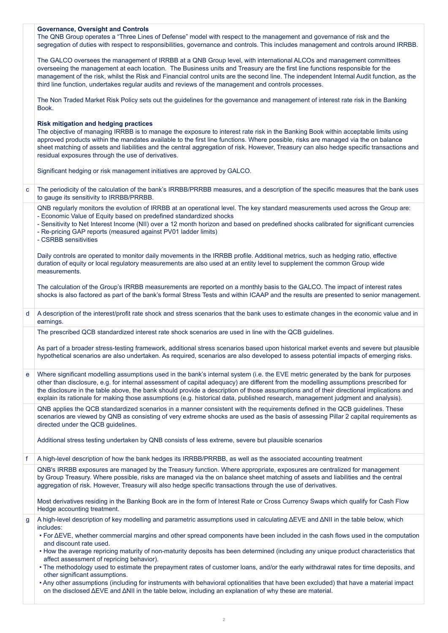|              | <b>Governance, Oversight and Controls</b><br>The QNB Group operates a "Three Lines of Defense" model with respect to the management and governance of risk and the<br>segregation of duties with respect to responsibilities, governance and controls. This includes management and controls around IRRBB.                                                                                                                                                                                                                                                |  |  |  |  |
|--------------|-----------------------------------------------------------------------------------------------------------------------------------------------------------------------------------------------------------------------------------------------------------------------------------------------------------------------------------------------------------------------------------------------------------------------------------------------------------------------------------------------------------------------------------------------------------|--|--|--|--|
|              | The GALCO oversees the management of IRRBB at a QNB Group level, with international ALCOs and management committees<br>overseeing the management at each location. The Business units and Treasury are the first line functions responsible for the<br>management of the risk, whilst the Risk and Financial control units are the second line. The independent Internal Audit function, as the<br>third line function, undertakes regular audits and reviews of the management and controls processes.                                                   |  |  |  |  |
|              | The Non Traded Market Risk Policy sets out the guidelines for the governance and management of interest rate risk in the Banking<br>Book.                                                                                                                                                                                                                                                                                                                                                                                                                 |  |  |  |  |
|              | <b>Risk mitigation and hedging practices</b><br>The objective of managing IRRBB is to manage the exposure to interest rate risk in the Banking Book within acceptable limits using<br>approved products within the mandates available to the first line functions. Where possible, risks are managed via the on balance<br>sheet matching of assets and liabilities and the central aggregation of risk. However, Treasury can also hedge specific transactions and<br>residual exposures through the use of derivatives.                                 |  |  |  |  |
|              | Significant hedging or risk management initiatives are approved by GALCO.                                                                                                                                                                                                                                                                                                                                                                                                                                                                                 |  |  |  |  |
| $\mathbf{C}$ | The periodicity of the calculation of the bank's IRRBB/PRRBB measures, and a description of the specific measures that the bank uses<br>to gauge its sensitivity to IRRBB/PRRBB.                                                                                                                                                                                                                                                                                                                                                                          |  |  |  |  |
|              | QNB regularly monitors the evolution of IRRBB at an operational level. The key standard measurements used across the Group are:<br>- Economic Value of Equity based on predefined standardized shocks<br>- Sensitivity to Net Interest Income (NII) over a 12 month horizon and based on predefined shocks calibrated for significant currencies<br>- Re-pricing GAP reports (measured against PV01 ladder limits)<br>- CSRBB sensitivities                                                                                                               |  |  |  |  |
|              | Daily controls are operated to monitor daily movements in the IRRBB profile. Additional metrics, such as hedging ratio, effective<br>duration of equity or local regulatory measurements are also used at an entity level to supplement the common Group wide<br>measurements.                                                                                                                                                                                                                                                                            |  |  |  |  |
|              | The calculation of the Group's IRRBB measurements are reported on a monthly basis to the GALCO. The impact of interest rates<br>shocks is also factored as part of the bank's formal Stress Tests and within ICAAP and the results are presented to senior management.                                                                                                                                                                                                                                                                                    |  |  |  |  |
| d            | A description of the interest/profit rate shock and stress scenarios that the bank uses to estimate changes in the economic value and in<br>earnings.                                                                                                                                                                                                                                                                                                                                                                                                     |  |  |  |  |
|              | The prescribed QCB standardized interest rate shock scenarios are used in line with the QCB guidelines.                                                                                                                                                                                                                                                                                                                                                                                                                                                   |  |  |  |  |
|              | As part of a broader stress-testing framework, additional stress scenarios based upon historical market events and severe but plausible<br>hypothetical scenarios are also undertaken. As required, scenarios are also developed to assess potential impacts of emerging risks.                                                                                                                                                                                                                                                                           |  |  |  |  |
| e            | Where significant modelling assumptions used in the bank's internal system (i.e. the EVE metric generated by the bank for purposes<br>other than disclosure, e.g. for internal assessment of capital adequacy) are different from the modelling assumptions prescribed for<br>the disclosure in the table above, the bank should provide a description of those assumptions and of their directional implications and<br>explain its rationale for making those assumptions (e.g. historical data, published research, management judgment and analysis). |  |  |  |  |
|              | QNB applies the QCB standardized scenarios in a manner consistent with the requirements defined in the QCB guidelines. These<br>scenarios are viewed by QNB as consisting of very extreme shocks are used as the basis of assessing Pillar 2 capital requirements as<br>directed under the QCB guidelines.                                                                                                                                                                                                                                                |  |  |  |  |
|              | Additional stress testing undertaken by QNB consists of less extreme, severe but plausible scenarios                                                                                                                                                                                                                                                                                                                                                                                                                                                      |  |  |  |  |
| f            | A high-level description of how the bank hedges its IRRBB/PRRBB, as well as the associated accounting treatment                                                                                                                                                                                                                                                                                                                                                                                                                                           |  |  |  |  |
|              | QNB's IRRBB exposures are managed by the Treasury function. Where appropriate, exposures are centralized for management<br>by Group Treasury. Where possible, risks are managed via the on balance sheet matching of assets and liabilities and the central<br>aggregation of risk. However, Treasury will also hedge specific transactions through the use of derivatives.<br>Most derivatives residing in the Banking Book are in the form of Interest Rate or Cross Currency Swaps which qualify for Cash Flow                                         |  |  |  |  |
|              | Hedge accounting treatment.                                                                                                                                                                                                                                                                                                                                                                                                                                                                                                                               |  |  |  |  |
| g            | A high-level description of key modelling and parametric assumptions used in calculating $\Delta EVE$ and $\Delta NII$ in the table below, which<br>includes:<br>• For $\Delta EVE$ , whether commercial margins and other spread components have been included in the cash flows used in the computation                                                                                                                                                                                                                                                 |  |  |  |  |
|              | and discount rate used.<br>• How the average repricing maturity of non-maturity deposits has been determined (including any unique product characteristics that                                                                                                                                                                                                                                                                                                                                                                                           |  |  |  |  |
|              | affect assessment of repricing behavior).<br>. The methodology used to estimate the prepayment rates of customer loans, and/or the early withdrawal rates for time deposits, and                                                                                                                                                                                                                                                                                                                                                                          |  |  |  |  |
|              | other significant assumptions.<br>. Any other assumptions (including for instruments with behavioral optionalities that have been excluded) that have a material impact<br>on the disclosed $\Delta EVE$ and $\Delta NIII$ in the table below, including an explanation of why these are material.                                                                                                                                                                                                                                                        |  |  |  |  |